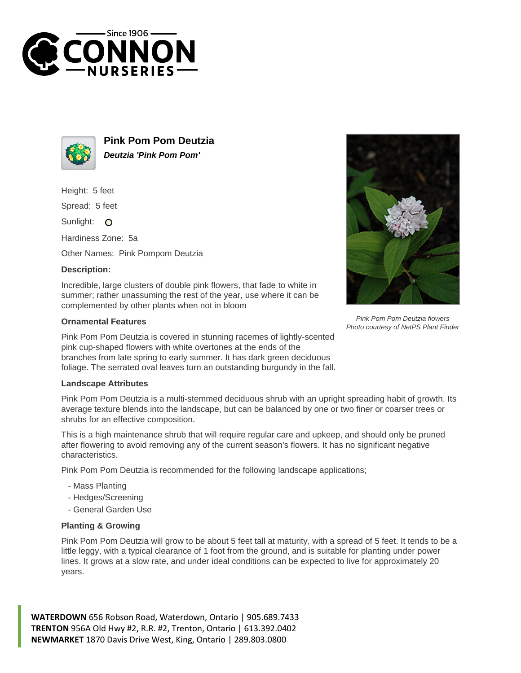



**Pink Pom Pom Deutzia Deutzia 'Pink Pom Pom'**

Height: 5 feet

Spread: 5 feet

Sunlight: O

Hardiness Zone: 5a

Other Names: Pink Pompom Deutzia

## **Description:**

Incredible, large clusters of double pink flowers, that fade to white in summer; rather unassuming the rest of the year, use where it can be complemented by other plants when not in bloom

## **Ornamental Features**

Pink Pom Pom Deutzia is covered in stunning racemes of lightly-scented pink cup-shaped flowers with white overtones at the ends of the branches from late spring to early summer. It has dark green deciduous foliage. The serrated oval leaves turn an outstanding burgundy in the fall.

## **Landscape Attributes**

Pink Pom Pom Deutzia is a multi-stemmed deciduous shrub with an upright spreading habit of growth. Its average texture blends into the landscape, but can be balanced by one or two finer or coarser trees or shrubs for an effective composition.

This is a high maintenance shrub that will require regular care and upkeep, and should only be pruned after flowering to avoid removing any of the current season's flowers. It has no significant negative characteristics.

Pink Pom Pom Deutzia is recommended for the following landscape applications;

- Mass Planting
- Hedges/Screening
- General Garden Use

## **Planting & Growing**

Pink Pom Pom Deutzia will grow to be about 5 feet tall at maturity, with a spread of 5 feet. It tends to be a little leggy, with a typical clearance of 1 foot from the ground, and is suitable for planting under power lines. It grows at a slow rate, and under ideal conditions can be expected to live for approximately 20 years.

**WATERDOWN** 656 Robson Road, Waterdown, Ontario | 905.689.7433 **TRENTON** 956A Old Hwy #2, R.R. #2, Trenton, Ontario | 613.392.0402 **NEWMARKET** 1870 Davis Drive West, King, Ontario | 289.803.0800



Pink Pom Pom Deutzia flowers Photo courtesy of NetPS Plant Finder